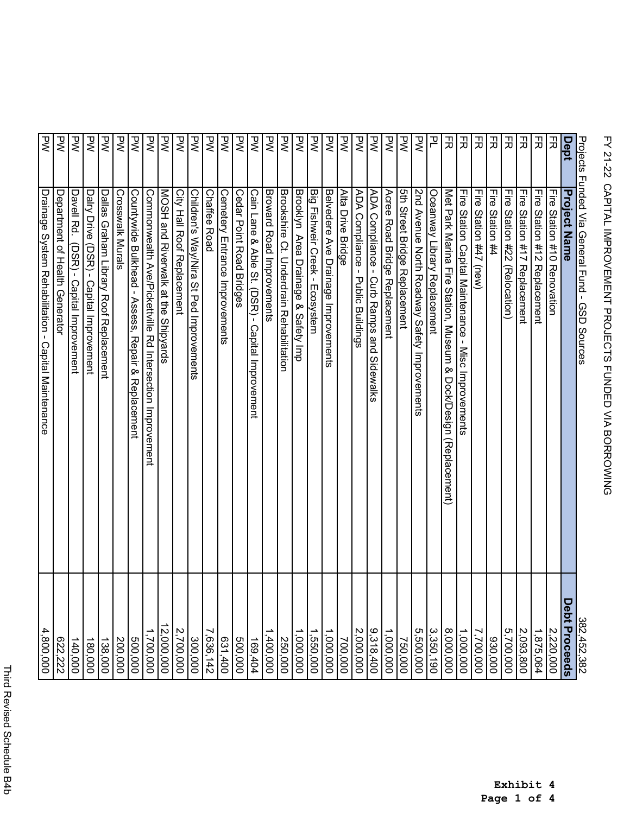|             | Projects Funded Via General Fund - GSD Sources                     | $\frac{382,452,382}{5}$ |
|-------------|--------------------------------------------------------------------|-------------------------|
| <b>Dept</b> | <b>Project Name</b>                                                | Debt Proceeds           |
| 곬           | Lire 2tation #10 Kenovation                                        | 2,220,000               |
| 곬           | Tire Station #12 Replacement                                       | 1,875,064               |
| 곬           | 识<br>Station #17 Replacement                                       | 2,093,800               |
| 곬           | ĿГе<br>Station #22<br>(Relocation)                                 | 5,700,000               |
| 곬           | 긓<br>Station #4                                                    | 930,000                 |
| 叧           | 급<br>Station #47<br>(mew)                                          | 7,700,000               |
| 곬           | 끟<br>Station Capital Maintenance -<br>Misc Improvements            | 1,000,000               |
| 곬           | Met Park Marina Fire Station, Museum & Dock/Design (Replacement)   | 8,000,000               |
| 곡           | Oceanway Library Replacement                                       | 3,350,190               |
| ζ           | 2nd Avenue North Roadway Safety Improvements                       | 5,500,000               |
| ΣŽ          | 5th Street Bridge Replacement                                      | 750,000                 |
| Σλ          | Acree Road Bridge Replacement                                      | 1,000,000               |
| Š           | ADA Compliance - Curb Ramps and<br>Sidewalks                       | 9,318,400               |
| ΣŽ          | ADA Compliance - Public Buildings                                  | 2,000,000               |
| ξ           | Alta Drive Bridge                                                  | 700,000                 |
| ξ           | Belvedere Ave Drainage Improvements                                | 1,000,000               |
| Σλ          | Big Fishweir Creek - Ecosystem                                     | ,550,000                |
| 공           | Brooklyn Area Drainage & Safety Imp                                | ,000,000                |
| ξ           | Brookshire Ct. Underdrain Rehabilitation                           | 250,000                 |
| Š           | Broward Road Improvements                                          | ,400,000                |
| ᢃ           | Cain Lane & Able St. (DSR) - Capital Improvement                   | 169,404                 |
| ΣŽ          | Cedar Point Road Bridges                                           | 500,000                 |
| ΣŽ          | Cemetery Entrance Improvements                                     | 631,400                 |
| ξ           | <b>Chaffee Road</b>                                                | 7,636,142               |
| 공           | Children's Way/Nira St Ped Improvements                            | 300,000                 |
| ξ           | <b>City Hall Root Replacement</b>                                  | 2,700,000               |
| ξ           | MOSH and Riverwalk at the Shipyards                                | 12,000,000              |
| ξ           | Commonwealth A <u>ve/P</u> ickettville Rd Intersection Improvement | 1,700,000               |
| 공           | Countywide Bulkhead - Assess, Repair &<br>Replacement              | 500,000                 |
| ξ           | Crosswalk Murals                                                   | 200,000                 |
| 공           | Dallas Graham Library Roof Replacement                             | $\frac{138,000}{2}$     |
| 공           | Dalry Drive<br>(DSR) - Capital Improvement                         | 180,000                 |
| ξ           | Davell Rd.<br>(DSR) -<br>Capital Improvement                       | 140,000                 |
| Š           | Department of Health Generator                                     | 622,222                 |
| ᄝ           | Drainage System Rehabilitation - Capital Maintenance               | 4,800,000               |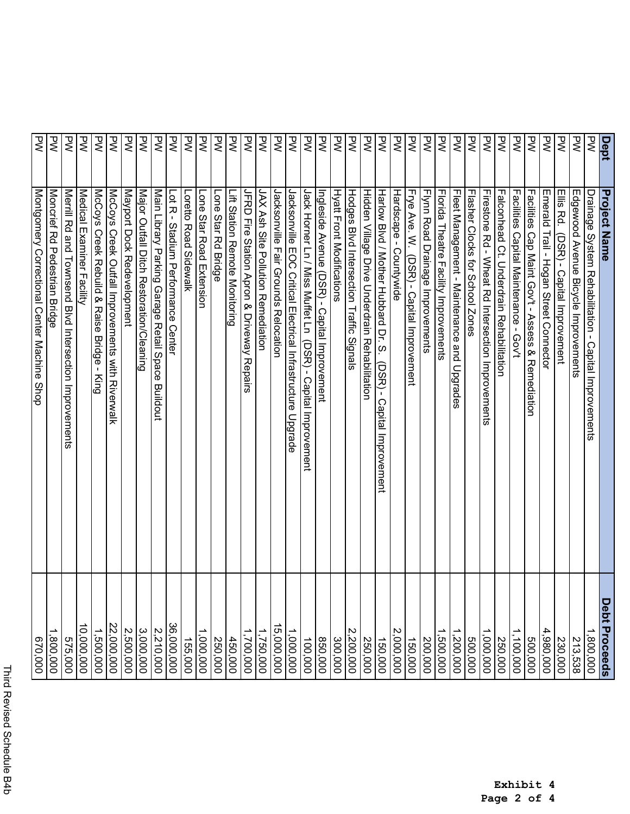|           | <b>Project Name</b>                                                  | Debt Proceeds        |
|-----------|----------------------------------------------------------------------|----------------------|
| Dept<br>P | Drainage System Rehabilitation - Capital Improvements                | ,800,000             |
| ΡŃ        | Edgewood Avenue Bicycle Improvements                                 | 213,538              |
| ΣŽ        | Ellis Rd.<br>(DSR) - Capital Improvement                             | 230,000              |
| ξ         | Emerald Trail - Hogan Street Connector                               | 4,980,000            |
| ξ         | Facilities<br>Cap Maint Gov't - Assess & Remediation                 | 500,000              |
| ᄝ         | Facilities Capital Maintenance - Gov't                               | 1,100,000            |
| ζ         | Falconhead Ct. Underdrain Rehabilitation                             | 250,000              |
| ζ         | Firestone Rd - Wheat Rd Intersection Improvements                    | 1,000,000            |
| ξ         | Flasher Clocks for School Zones                                      | 500,000              |
| 공         | Fleet Management - Maintenance and Upgrades                          | ,200,000             |
| 공         | Florida Theatre Facility Improvements                                | 1,500,000            |
| ᄝ         | Flynn Road Drainage Improvements                                     | 200,000              |
| ₹         | Frye Ave. W.<br>СSR) -<br>Capital Improvement                        | 150,000              |
| ξ         | Hardscape -<br>Countywide                                            | 2,000,000            |
| ξ         | Harlow Blyd / Mother Hubbard Dr. S.<br>DSR) -<br>Capital Improvement | 150,000              |
| ξ         | Hidden Village Drive Crderdrain Rehabilitation                       | 250,000              |
| ΣŽ        | Hodges Blvd Intersection Traffic Signals                             | 2,200,000            |
| 공         | Hyatt Front Modifications                                            | 300,000              |
| ξ         | Ingleside Avenue (DSR) - Capital Improvement                         | 850,000              |
| ξ         | Jack Horner Ln / Miss Muffet Ln (DSR) - Capital Improvement          | 100,000              |
| ξ         | Jacksonville EOC Critical Electrical Infrastructure Upgrade          | 1,000,000            |
| 공         | Jacksonville Fair Grounds Relocation                                 | 5,000,000            |
| ᄝ         | JAX Ash Site Pollution Remediation                                   | 1,750,000            |
| 공         | JFRD Fire Station Apron & Driveway Repairs                           | $\frac{1,700,000}{}$ |
| ξ         | Ξ<br>Station Remote Monitoring                                       | 450,000              |
| ξ         | Lone Star Rd Bridge                                                  | 250,000              |
| ζ         | Lone Star Road Extension                                             | ,000,000             |
| Š         | <b>Loretto Road Sidewalk</b>                                         | 155,000              |
| 공         | Lot R - Stadium Performance Center                                   | 36,000,000           |
| 공         | Main Library Parking Garage Retail Space Buildout                    | 2,210,000            |
| ξ         | Major Outfall Ditch Restoration/Cleaning                             | 3,000,000            |
| ξ         | Mayport Dock Redevelopment                                           | 2,500,000            |
| ξ         | McCoys Creek Outfall Improvements with Riverwalk                     | 22,000,000           |
| ξ         | McCoys Creek Rebuild & Raise Bridge - King                           | 1,500,000            |
| ξ         | Medical Examiner Facility                                            | 10,000,000           |
| 공         | Merrill Rd<br>and Townsend Blvd Intersection Improvements            | 575,000              |
| ζ         | Moncrief<br>Rd Pedestrian Bridge                                     | ,800,000             |
| ₹         | Montgomery Correctional Center Machine Shop                          | 670,000              |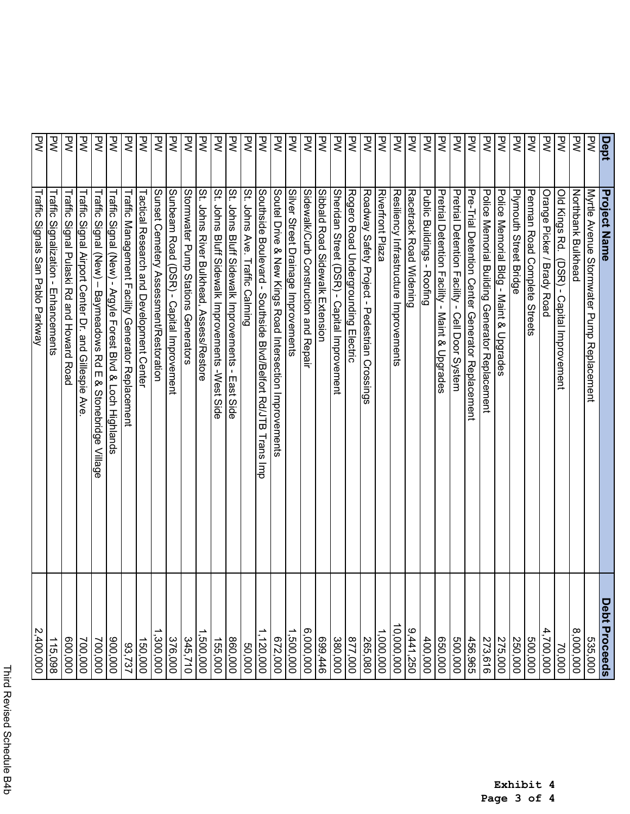|           | <b>Project Name</b>                                                            | Debt Proceeds |
|-----------|--------------------------------------------------------------------------------|---------------|
| Dept<br>P | Myrtle Avenue Stormwater Pump Replacement                                      | 535,000       |
| ΜĀ        | Northbank Bulkhead                                                             | 8,000,000     |
| ζ         | Old Kings Rd.<br>(DSR) - Capital Improvement                                   | 70,000        |
| ζ         | Orange Picker / Brady Road                                                     | 4,700,000     |
| Σλ        | <b>Pennan Road Complete Streets</b>                                            | 500,000       |
| Σλ        | Plymouth Street Bridge                                                         | 250,000       |
| λÁ        | Police Memorial Bldg - Maint & Upgrades                                        | 275,000       |
| PW        | Police Memorial Building Generator Replacement                                 | 273,616       |
| Μ         | Pre-Trial Detention Center Generator Replacement                               | 456,965       |
| ΣV        | Pretrial Detention Facility - Cell Door System                                 | 500,000       |
| ξ         | Pretrial Detention Facility - Maint & Upgrades                                 | 650,000       |
| ζ         | Public Buildings -<br>Roofing                                                  | 400,000       |
| ζ         | Racetrack Road Widening                                                        | 9,441,250     |
| ζ         | Resiliency Infrastructure Improvements                                         | 10,000,000    |
| ζ         | Riverfront Plaza                                                               | 1,000,000     |
| ΣV        | Roadway Safety Project - Pedestrian Crossings                                  | 265,080       |
| ξ         | Rogero Road Undergrounding Electric                                            | 877,000       |
| ΣŽ        | Sheridan Street (DSR) - Capital Improvement                                    | 380,000       |
| ζ         | Sibbald Road Sidewalk Extension                                                | 699,446       |
| ζ         | Sidewalk/Curb Construction and Repair                                          | 6,000,000     |
| D<br>N    | Silver Street Drainage Improvements                                            | 1,500,000     |
| ξ         | Soutel Drive & New Kings Road Intersection Improvements                        | 672,000       |
| ξ         | Southside Boulevard - Southside Blvd/Belfort Rd/JTB<br>lrans<br>$\overline{a}$ | 1,120,000     |
| ΜĀ        | St.<br>Johns Ave.<br>Traffic Calming                                           | 50,000        |
| ζ         | St.<br>Johns<br>Bluff Sidewalk Improvements -<br>East Side                     | 860,000       |
| ζ         | St.<br>Johns<br>Bluff Sidewalk Improvements - West Side                        | 155,000       |
| ΣV        | St. Johns River Bulkhead, Assess/Restore                                       | ,500,000      |
| Μ         | Stormwater Pump Stations Generators                                            | 345,710       |
| ΣŽ        | Sunbeam Road (DSR) - Capital Improvement                                       | 376,000       |
| ΜĀ        | Sunset Cemetery Assessment/Restoration                                         | 1,300,000     |
| ΜĀ        | Tactical Research and Development Center                                       | 150,000       |
| λÁ        | Traffic Management Facility Generator Replacement                              | 93,737        |
| ΜĀ        | Traffic Signal (New) - Argyle Forest Blvd & Loch Highlands                     | 000'006       |
| λÁ        | Traffic Signal (New) – Baymeadows Rd E<br>& Stonebridge Village                | 700,000       |
| ΣV        | Traffic<br>Signal Airport<br>Center Dr. and Gillespie Ave                      | 700,000       |
| ζ         | Traffic<br>Signal Pulaski Rd and Howard<br>Road                                | 600,000       |
| ζ         | Traffic<br>Signalization -<br>Enhancements                                     | 115,098       |
| ΡŃ        | Traffic Signals San Pablo Parkway                                              | 2,400,000     |